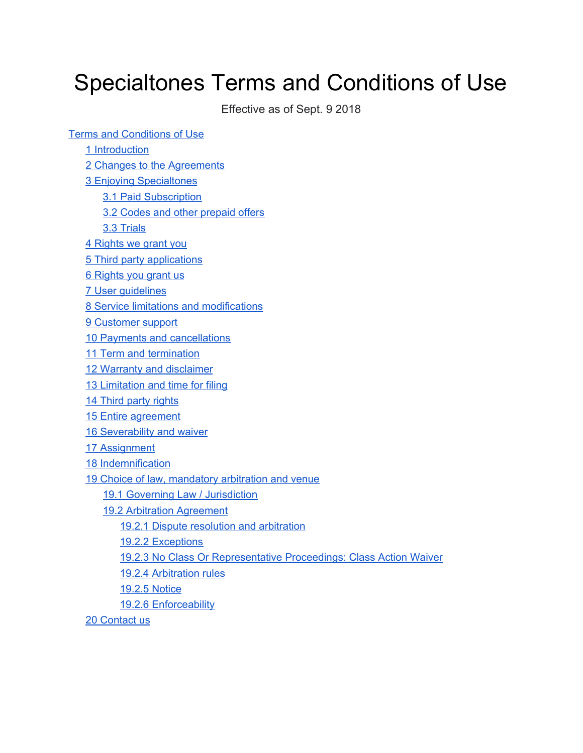# Specialtones Terms and Conditions of Use

Effective as of Sept. 9 2018

Terms and Conditions of Use

1 [Introduction](#page-1-0)

2 Changes to the [Agreements](#page-2-0)

3 Enjoying [Specialtones](#page-2-1)

3.1 Paid [Subscription](#page-2-2)

3.2 Codes and other [prepaid](#page-2-3) offers

3.3 [Trials](#page-2-4)

4 Rights we grant you

5 Third party [applications](#page-4-0)

6 [Rights](#page-4-1) you grant us

7 User [guidelines](#page-4-2)

8 Service limitations and [modifications](#page-6-0)

9 [Customer](#page-7-0) support

10 Payments and [cancellations](#page-7-1)

11 Term and [termination](#page-8-0)

12 Warranty and [disclaimer](#page-8-1)

13 [Limitation](#page-9-0) and time for filing

14 Third party [rights](#page-10-0)

15 Entire [agreement](#page-10-1)

**16 [Severability](#page-11-0) and waiver** 

17 [Assignment](#page-11-1)

18 [Indemnification](#page-11-2)

19 Choice of law, [mandatory](#page-11-3) arbitration and venue

19.1 Governing Law / [Jurisdiction](#page-11-4)

[19.2](#page-12-0) Arbitration Agreement

19.2.1 Dispute resolution and [arbitration](#page-12-1)

19.2.2 [Exceptions](#page-12-2)

19.2.3 No Class Or [Representative](#page-13-0) Proceedings: Class Action Waiver

19.2.4 [Arbitration](#page-13-1) rules

19.2.5 Notice

19.2.6 [Enforceability](#page-14-0)

20 [Contact](#page-14-1) us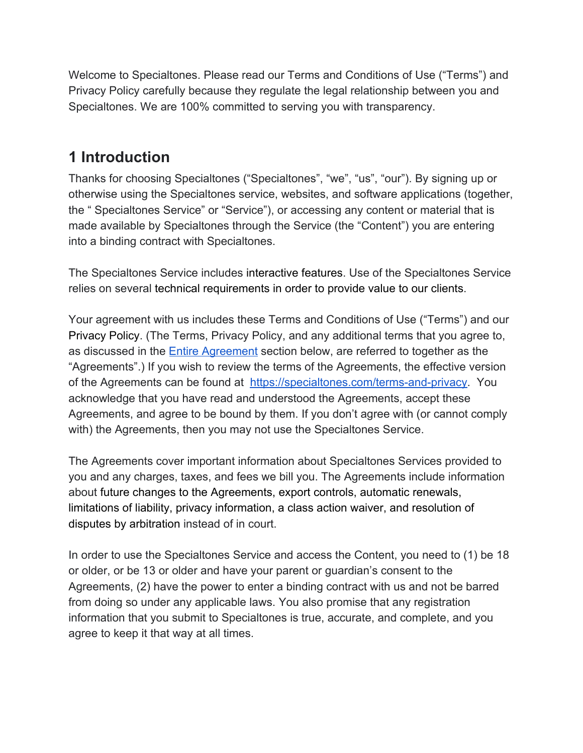Welcome to Specialtones. Please read our Terms and Conditions of Use ("Terms") and Privacy Policy carefully because they regulate the legal relationship between you and Specialtones. We are 100% committed to serving you with transparency.

### <span id="page-1-0"></span>**1 Introduction**

Thanks for choosing Specialtones ("Specialtones", "we", "us", "our"). By signing up or otherwise using the Specialtones service, websites, and software applications (together, the " Specialtones Service" or "Service"), or accessing any content or material that is made available by Specialtones through the Service (the "Content") you are entering into a binding contract with Specialtones.

The Specialtones Service includes interactive features. Use of the Specialtones Service relies on several technical requirements in order to provide value to our clients.

Your agreement with us includes these Terms and Conditions of Use ("Terms") and our Privacy Policy. (The Terms, Privacy Policy, and any additional terms that you agree to, as discussed in the [Entire Agreement](#page-10-1) section below, are referred to together as the "Agreements".) If you wish to review the terms of the Agreements, the effective version of the Agreements can be found at [https://specialtones.com/terms-and-privacy.](https://specialtones.com/terms-and-privacy) You acknowledge that you have read and understood the Agreements, accept these Agreements, and agree to be bound by them. If you don't agree with (or cannot comply with) the Agreements, then you may not use the Specialtones Service.

The Agreements cover important information about Specialtones Services provided to you and any charges, taxes, and fees we bill you. The Agreements include information about future changes to the Agreements, export controls, automatic renewals, limitations of liability, privacy information, a class action waiver, and resolution of disputes by arbitration instead of in court.

In order to use the Specialtones Service and access the Content, you need to (1) be 18 or older, or be 13 or older and have your parent or guardian's consent to the Agreements, (2) have the power to enter a binding contract with us and not be barred from doing so under any applicable laws. You also promise that any registration information that you submit to Specialtones is true, accurate, and complete, and you agree to keep it that way at all times.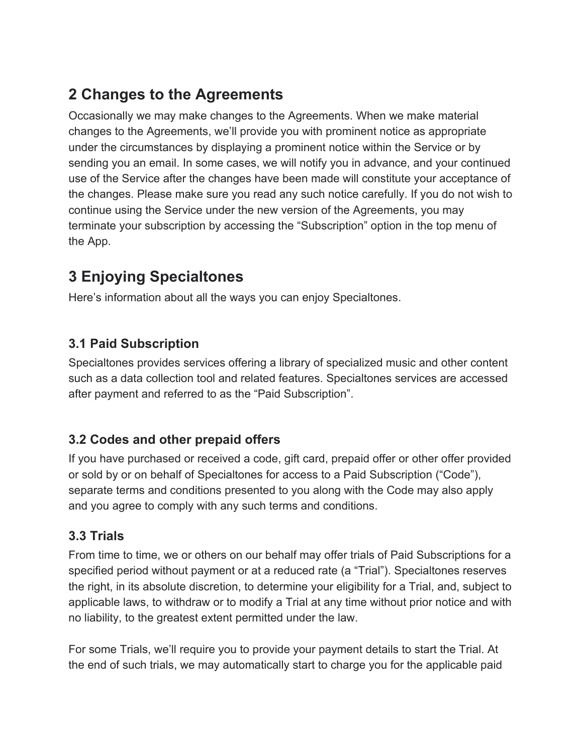### <span id="page-2-0"></span>**2 Changes to the Agreements**

Occasionally we may make changes to the Agreements. When we make material changes to the Agreements, we'll provide you with prominent notice as appropriate under the circumstances by displaying a prominent notice within the Service or by sending you an email. In some cases, we will notify you in advance, and your continued use of the Service after the changes have been made will constitute your acceptance of the changes. Please make sure you read any such notice carefully. If you do not wish to continue using the Service under the new version of the Agreements, you may terminate your subscription by accessing the "Subscription" option in the top menu of the App.

# <span id="page-2-1"></span>**3 Enjoying Specialtones**

Here's information about all the ways you can enjoy Specialtones.

#### <span id="page-2-2"></span>**3.1 Paid Subscription**

Specialtones provides services offering a library of specialized music and other content such as a data collection tool and related features. Specialtones services are accessed after payment and referred to as the "Paid Subscription".

#### <span id="page-2-3"></span>**3.2 Codes and other prepaid offers**

If you have purchased or received a code, gift card, prepaid offer or other offer provided or sold by or on behalf of Specialtones for access to a Paid Subscription ("Code"), separate terms and conditions presented to you along with the Code may also apply and you agree to comply with any such terms and conditions.

#### <span id="page-2-4"></span>**3.3 Trials**

From time to time, we or others on our behalf may offer trials of Paid Subscriptions for a specified period without payment or at a reduced rate (a "Trial"). Specialtones reserves the right, in its absolute discretion, to determine your eligibility for a Trial, and, subject to applicable laws, to withdraw or to modify a Trial at any time without prior notice and with no liability, to the greatest extent permitted under the law.

For some Trials, we'll require you to provide your payment details to start the Trial. At the end of such trials, we may automatically start to charge you for the applicable paid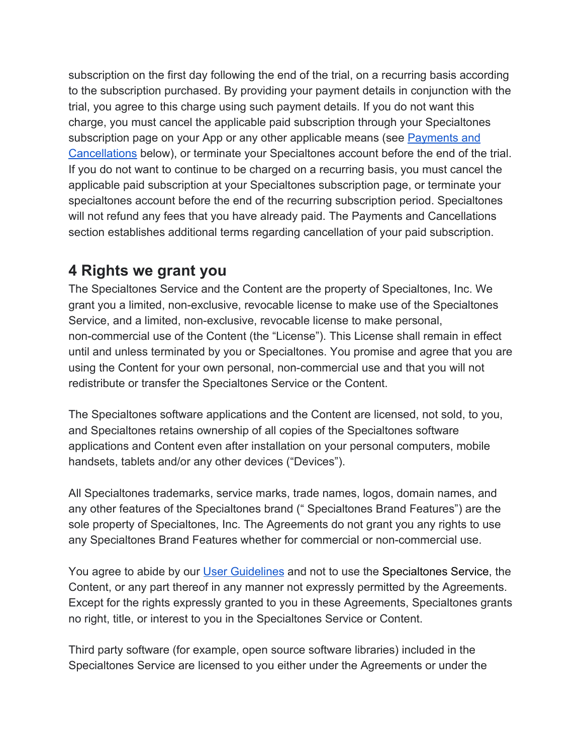subscription on the first day following the end of the trial, on a recurring basis according to the subscription purchased. By providing your payment details in conjunction with the trial, you agree to this charge using such payment details. If you do not want this charge, you must cancel the applicable paid subscription through your Specialtones subscription page on your App or any other applicable means (see [Payments and](#page-7-1) [Cancellations](#page-7-1) below), or terminate your Specialtones account before the end of the trial. If you do not want to continue to be charged on a recurring basis, you must cancel the applicable paid subscription at your Specialtones subscription page, or terminate your specialtones account before the end of the recurring subscription period. Specialtones will not refund any fees that you have already paid. The Payments and Cancellations section establishes additional terms regarding cancellation of your paid subscription.

#### **4 Rights we grant you**

The Specialtones Service and the Content are the property of Specialtones, Inc. We grant you a limited, non-exclusive, revocable license to make use of the Specialtones Service, and a limited, non-exclusive, revocable license to make personal, non-commercial use of the Content (the "License"). This License shall remain in effect until and unless terminated by you or Specialtones. You promise and agree that you are using the Content for your own personal, non-commercial use and that you will not redistribute or transfer the Specialtones Service or the Content.

The Specialtones software applications and the Content are licensed, not sold, to you, and Specialtones retains ownership of all copies of the Specialtones software applications and Content even after installation on your personal computers, mobile handsets, tablets and/or any other devices ("Devices").

All Specialtones trademarks, service marks, trade names, logos, domain names, and any other features of the Specialtones brand (" Specialtones Brand Features") are the sole property of Specialtones, Inc. The Agreements do not grant you any rights to use any Specialtones Brand Features whether for commercial or non-commercial use.

You agree to abide by our [User Guidelines](#page-4-2) and not to use the Specialtones Service, the Content, or any part thereof in any manner not expressly permitted by the Agreements. Except for the rights expressly granted to you in these Agreements, Specialtones grants no right, title, or interest to you in the Specialtones Service or Content.

Third party software (for example, open source software libraries) included in the Specialtones Service are licensed to you either under the Agreements or under the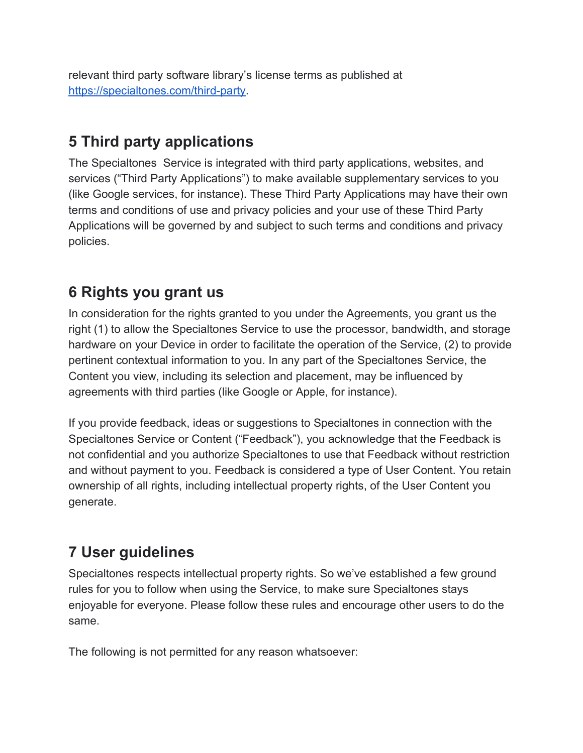relevant third party software library's license terms as published at <https://specialtones.com/third-party>.

### <span id="page-4-0"></span>**5 Third party applications**

The Specialtones Service is integrated with third party applications, websites, and services ("Third Party Applications") to make available supplementary services to you (like Google services, for instance). These Third Party Applications may have their own terms and conditions of use and privacy policies and your use of these Third Party Applications will be governed by and subject to such terms and conditions and privacy policies.

### <span id="page-4-1"></span>**6 Rights you grant us**

In consideration for the rights granted to you under the Agreements, you grant us the right (1) to allow the Specialtones Service to use the processor, bandwidth, and storage hardware on your Device in order to facilitate the operation of the Service, (2) to provide pertinent contextual information to you. In any part of the Specialtones Service, the Content you view, including its selection and placement, may be influenced by agreements with third parties (like Google or Apple, for instance).

If you provide feedback, ideas or suggestions to Specialtones in connection with the Specialtones Service or Content ("Feedback"), you acknowledge that the Feedback is not confidential and you authorize Specialtones to use that Feedback without restriction and without payment to you. Feedback is considered a type of User Content. You retain ownership of all rights, including intellectual property rights, of the User Content you generate.

# <span id="page-4-2"></span>**7 User guidelines**

Specialtones respects intellectual property rights. So we've established a few ground rules for you to follow when using the Service, to make sure Specialtones stays enjoyable for everyone. Please follow these rules and encourage other users to do the same.

The following is not permitted for any reason whatsoever: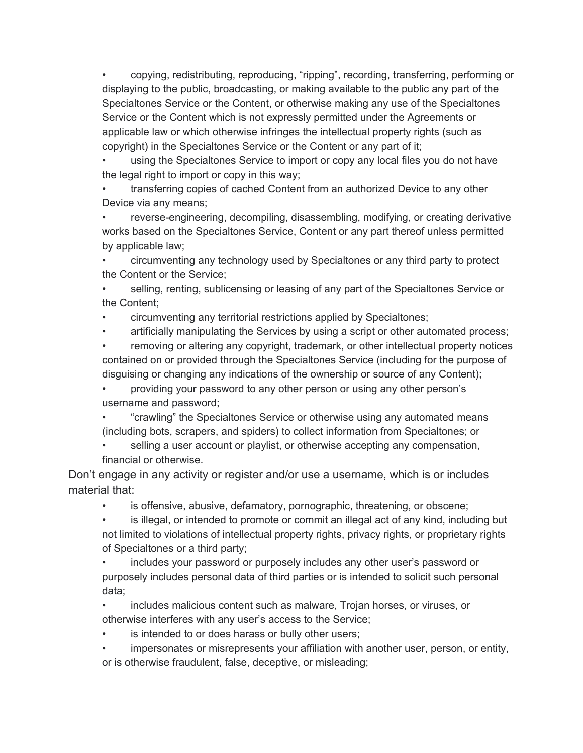• copying, redistributing, reproducing, "ripping", recording, transferring, performing or displaying to the public, broadcasting, or making available to the public any part of the Specialtones Service or the Content, or otherwise making any use of the Specialtones Service or the Content which is not expressly permitted under the Agreements or applicable law or which otherwise infringes the intellectual property rights (such as copyright) in the Specialtones Service or the Content or any part of it;

• using the Specialtones Service to import or copy any local files you do not have the legal right to import or copy in this way;

• transferring copies of cached Content from an authorized Device to any other Device via any means;

• reverse-engineering, decompiling, disassembling, modifying, or creating derivative works based on the Specialtones Service, Content or any part thereof unless permitted by applicable law;

• circumventing any technology used by Specialtones or any third party to protect the Content or the Service;

• selling, renting, sublicensing or leasing of any part of the Specialtones Service or the Content;

• circumventing any territorial restrictions applied by Specialtones;

• artificially manipulating the Services by using a script or other automated process;

• removing or altering any copyright, trademark, or other intellectual property notices contained on or provided through the Specialtones Service (including for the purpose of disguising or changing any indications of the ownership or source of any Content);

• providing your password to any other person or using any other person's username and password;

• "crawling" the Specialtones Service or otherwise using any automated means (including bots, scrapers, and spiders) to collect information from Specialtones; or

selling a user account or playlist, or otherwise accepting any compensation, financial or otherwise.

Don't engage in any activity or register and/or use a username, which is or includes material that:

is offensive, abusive, defamatory, pornographic, threatening, or obscene;

• is illegal, or intended to promote or commit an illegal act of any kind, including but not limited to violations of intellectual property rights, privacy rights, or proprietary rights of Specialtones or a third party;

• includes your password or purposely includes any other user's password or purposely includes personal data of third parties or is intended to solicit such personal data;

• includes malicious content such as malware, Trojan horses, or viruses, or otherwise interferes with any user's access to the Service;

is intended to or does harass or bully other users;

impersonates or misrepresents your affiliation with another user, person, or entity, or is otherwise fraudulent, false, deceptive, or misleading;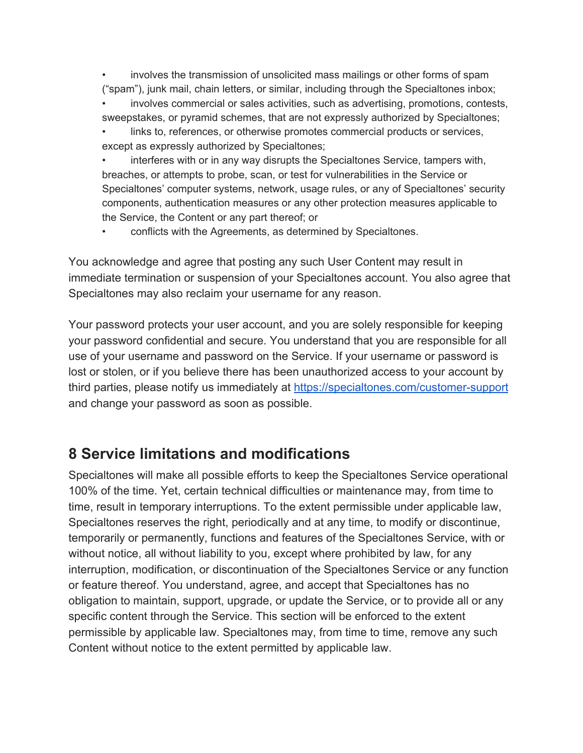• involves the transmission of unsolicited mass mailings or other forms of spam ("spam"), junk mail, chain letters, or similar, including through the Specialtones inbox;

involves commercial or sales activities, such as advertising, promotions, contests, sweepstakes, or pyramid schemes, that are not expressly authorized by Specialtones;

links to, references, or otherwise promotes commercial products or services, except as expressly authorized by Specialtones;

• interferes with or in any way disrupts the Specialtones Service, tampers with, breaches, or attempts to probe, scan, or test for vulnerabilities in the Service or Specialtones' computer systems, network, usage rules, or any of Specialtones' security components, authentication measures or any other protection measures applicable to the Service, the Content or any part thereof; or

• conflicts with the Agreements, as determined by Specialtones.

You acknowledge and agree that posting any such User Content may result in immediate termination or suspension of your Specialtones account. You also agree that Specialtones may also reclaim your username for any reason.

Your password protects your user account, and you are solely responsible for keeping your password confidential and secure. You understand that you are responsible for all use of your username and password on the Service. If your username or password is lost or stolen, or if you believe there has been unauthorized access to your account by third parties, please notify us immediately at <https://specialtones.com/customer-support> and change your password as soon as possible.

#### <span id="page-6-0"></span>**8 Service limitations and modifications**

Specialtones will make all possible efforts to keep the Specialtones Service operational 100% of the time. Yet, certain technical difficulties or maintenance may, from time to time, result in temporary interruptions. To the extent permissible under applicable law, Specialtones reserves the right, periodically and at any time, to modify or discontinue, temporarily or permanently, functions and features of the Specialtones Service, with or without notice, all without liability to you, except where prohibited by law, for any interruption, modification, or discontinuation of the Specialtones Service or any function or feature thereof. You understand, agree, and accept that Specialtones has no obligation to maintain, support, upgrade, or update the Service, or to provide all or any specific content through the Service. This section will be enforced to the extent permissible by applicable law. Specialtones may, from time to time, remove any such Content without notice to the extent permitted by applicable law.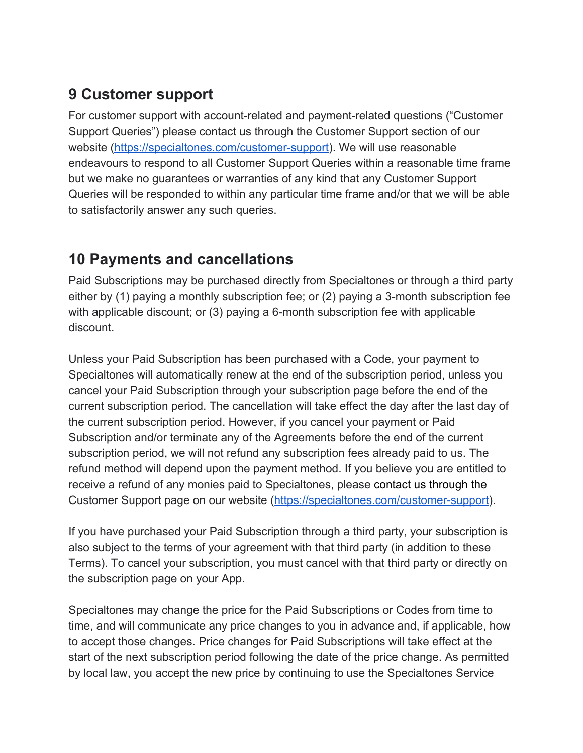### <span id="page-7-0"></span>**9 Customer support**

For customer support with account-related and payment-related questions ("Customer Support Queries") please contact us through the Customer Support section of our website ([https://specialtones.com/customer-support\)](https://specialtones.com/customer-support). We will use reasonable endeavours to respond to all Customer Support Queries within a reasonable time frame but we make no guarantees or warranties of any kind that any Customer Support Queries will be responded to within any particular time frame and/or that we will be able to satisfactorily answer any such queries.

### <span id="page-7-1"></span>**10 Payments and cancellations**

Paid Subscriptions may be purchased directly from Specialtones or through a third party either by (1) paying a monthly subscription fee; or (2) paying a 3-month subscription fee with applicable discount; or (3) paying a 6-month subscription fee with applicable discount.

Unless your Paid Subscription has been purchased with a Code, your payment to Specialtones will automatically renew at the end of the subscription period, unless you cancel your Paid Subscription through your subscription page before the end of the current subscription period. The cancellation will take effect the day after the last day of the current subscription period. However, if you cancel your payment or Paid Subscription and/or terminate any of the Agreements before the end of the current subscription period, we will not refund any subscription fees already paid to us. The refund method will depend upon the payment method. If you believe you are entitled to receive a refund of any monies paid to Specialtones, please contact us through the Customer Support page on our website ([https://specialtones.com/customer-support\)](https://specialtones.com/customer-support).

If you have purchased your Paid Subscription through a third party, your subscription is also subject to the terms of your agreement with that third party (in addition to these Terms). To cancel your subscription, you must cancel with that third party or directly on the subscription page on your App.

Specialtones may change the price for the Paid Subscriptions or Codes from time to time, and will communicate any price changes to you in advance and, if applicable, how to accept those changes. Price changes for Paid Subscriptions will take effect at the start of the next subscription period following the date of the price change. As permitted by local law, you accept the new price by continuing to use the Specialtones Service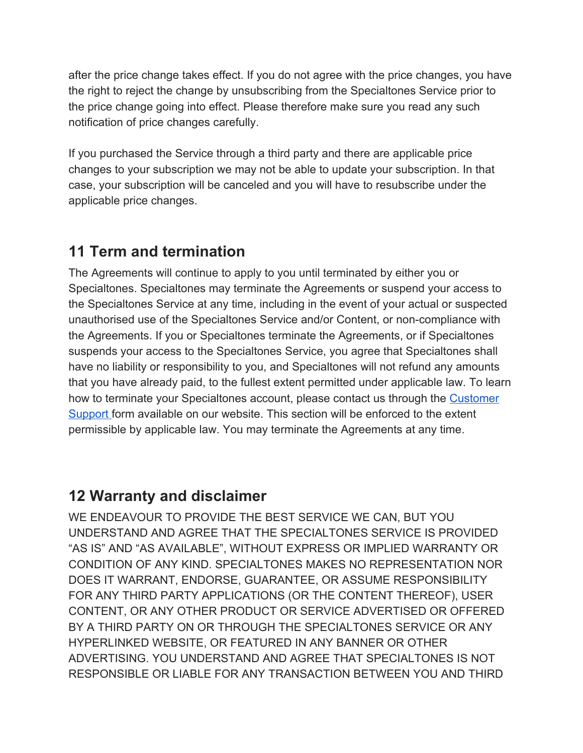after the price change takes effect. If you do not agree with the price changes, you have the right to reject the change by unsubscribing from the Specialtones Service prior to the price change going into effect. Please therefore make sure you read any such notification of price changes carefully.

If you purchased the Service through a third party and there are applicable price changes to your subscription we may not be able to update your subscription. In that case, your subscription will be canceled and you will have to resubscribe under the applicable price changes.

### <span id="page-8-0"></span>**11 Term and termination**

The Agreements will continue to apply to you until terminated by either you or Specialtones. Specialtones may terminate the Agreements or suspend your access to the Specialtones Service at any time, including in the event of your actual or suspected unauthorised use of the Specialtones Service and/or Content, or non-compliance with the Agreements. If you or Specialtones terminate the Agreements, or if Specialtones suspends your access to the Specialtones Service, you agree that Specialtones shall have no liability or responsibility to you, and Specialtones will not refund any amounts that you have already paid, to the fullest extent permitted under applicable law. To learn how to terminate your Specialtones account, please contact us through the [Customer](#page-7-0) [Support](#page-7-0) form available on our website. This section will be enforced to the extent permissible by applicable law. You may terminate the Agreements at any time.

#### <span id="page-8-1"></span>**12 Warranty and disclaimer**

WE ENDEAVOUR TO PROVIDE THE BEST SERVICE WE CAN, BUT YOU UNDERSTAND AND AGREE THAT THE SPECIALTONES SERVICE IS PROVIDED "AS IS" AND "AS AVAILABLE", WITHOUT EXPRESS OR IMPLIED WARRANTY OR CONDITION OF ANY KIND. SPECIALTONES MAKES NO REPRESENTATION NOR DOES IT WARRANT, ENDORSE, GUARANTEE, OR ASSUME RESPONSIBILITY FOR ANY THIRD PARTY APPLICATIONS (OR THE CONTENT THEREOF), USER CONTENT, OR ANY OTHER PRODUCT OR SERVICE ADVERTISED OR OFFERED BY A THIRD PARTY ON OR THROUGH THE SPECIALTONES SERVICE OR ANY HYPERLINKED WEBSITE, OR FEATURED IN ANY BANNER OR OTHER ADVERTISING. YOU UNDERSTAND AND AGREE THAT SPECIALTONES IS NOT RESPONSIBLE OR LIABLE FOR ANY TRANSACTION BETWEEN YOU AND THIRD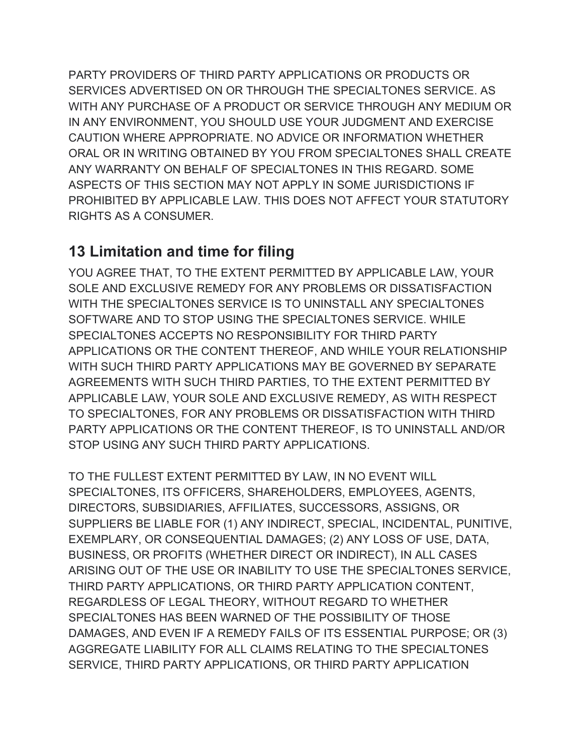PARTY PROVIDERS OF THIRD PARTY APPLICATIONS OR PRODUCTS OR SERVICES ADVERTISED ON OR THROUGH THE SPECIALTONES SERVICE. AS WITH ANY PURCHASE OF A PRODUCT OR SERVICE THROUGH ANY MEDIUM OR IN ANY ENVIRONMENT, YOU SHOULD USE YOUR JUDGMENT AND EXERCISE CAUTION WHERE APPROPRIATE. NO ADVICE OR INFORMATION WHETHER ORAL OR IN WRITING OBTAINED BY YOU FROM SPECIALTONES SHALL CREATE ANY WARRANTY ON BEHALF OF SPECIALTONES IN THIS REGARD. SOME ASPECTS OF THIS SECTION MAY NOT APPLY IN SOME JURISDICTIONS IF PROHIBITED BY APPLICABLE LAW. THIS DOES NOT AFFECT YOUR STATUTORY RIGHTS AS A CONSUMER.

#### <span id="page-9-0"></span>**13 Limitation and time for filing**

YOU AGREE THAT, TO THE EXTENT PERMITTED BY APPLICABLE LAW, YOUR SOLE AND EXCLUSIVE REMEDY FOR ANY PROBLEMS OR DISSATISFACTION WITH THE SPECIALTONES SERVICE IS TO UNINSTALL ANY SPECIALTONES SOFTWARE AND TO STOP USING THE SPECIALTONES SERVICE. WHILE SPECIALTONES ACCEPTS NO RESPONSIBILITY FOR THIRD PARTY APPLICATIONS OR THE CONTENT THEREOF, AND WHILE YOUR RELATIONSHIP WITH SUCH THIRD PARTY APPLICATIONS MAY BE GOVERNED BY SEPARATE AGREEMENTS WITH SUCH THIRD PARTIES, TO THE EXTENT PERMITTED BY APPLICABLE LAW, YOUR SOLE AND EXCLUSIVE REMEDY, AS WITH RESPECT TO SPECIALTONES, FOR ANY PROBLEMS OR DISSATISFACTION WITH THIRD PARTY APPLICATIONS OR THE CONTENT THEREOF, IS TO UNINSTALL AND/OR STOP USING ANY SUCH THIRD PARTY APPLICATIONS.

TO THE FULLEST EXTENT PERMITTED BY LAW, IN NO EVENT WILL SPECIALTONES, ITS OFFICERS, SHAREHOLDERS, EMPLOYEES, AGENTS, DIRECTORS, SUBSIDIARIES, AFFILIATES, SUCCESSORS, ASSIGNS, OR SUPPLIERS BE LIABLE FOR (1) ANY INDIRECT, SPECIAL, INCIDENTAL, PUNITIVE, EXEMPLARY, OR CONSEQUENTIAL DAMAGES; (2) ANY LOSS OF USE, DATA, BUSINESS, OR PROFITS (WHETHER DIRECT OR INDIRECT), IN ALL CASES ARISING OUT OF THE USE OR INABILITY TO USE THE SPECIALTONES SERVICE, THIRD PARTY APPLICATIONS, OR THIRD PARTY APPLICATION CONTENT, REGARDLESS OF LEGAL THEORY, WITHOUT REGARD TO WHETHER SPECIALTONES HAS BEEN WARNED OF THE POSSIBILITY OF THOSE DAMAGES, AND EVEN IF A REMEDY FAILS OF ITS ESSENTIAL PURPOSE; OR (3) AGGREGATE LIABILITY FOR ALL CLAIMS RELATING TO THE SPECIALTONES SERVICE, THIRD PARTY APPLICATIONS, OR THIRD PARTY APPLICATION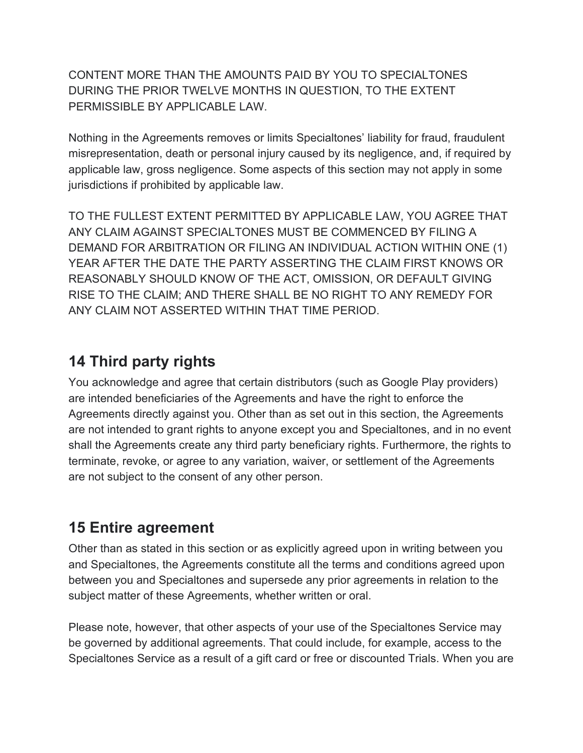CONTENT MORE THAN THE AMOUNTS PAID BY YOU TO SPECIALTONES DURING THE PRIOR TWELVE MONTHS IN QUESTION, TO THE EXTENT PERMISSIBLE BY APPLICABLE LAW.

Nothing in the Agreements removes or limits Specialtones' liability for fraud, fraudulent misrepresentation, death or personal injury caused by its negligence, and, if required by applicable law, gross negligence. Some aspects of this section may not apply in some jurisdictions if prohibited by applicable law.

TO THE FULLEST EXTENT PERMITTED BY APPLICABLE LAW, YOU AGREE THAT ANY CLAIM AGAINST SPECIALTONES MUST BE COMMENCED BY FILING A DEMAND FOR ARBITRATION OR FILING AN INDIVIDUAL ACTION WITHIN ONE (1) YEAR AFTER THE DATE THE PARTY ASSERTING THE CLAIM FIRST KNOWS OR REASONABLY SHOULD KNOW OF THE ACT, OMISSION, OR DEFAULT GIVING RISE TO THE CLAIM; AND THERE SHALL BE NO RIGHT TO ANY REMEDY FOR ANY CLAIM NOT ASSERTED WITHIN THAT TIME PERIOD.

#### <span id="page-10-0"></span>**14 Third party rights**

You acknowledge and agree that certain distributors (such as Google Play providers) are intended beneficiaries of the Agreements and have the right to enforce the Agreements directly against you. Other than as set out in this section, the Agreements are not intended to grant rights to anyone except you and Specialtones, and in no event shall the Agreements create any third party beneficiary rights. Furthermore, the rights to terminate, revoke, or agree to any variation, waiver, or settlement of the Agreements are not subject to the consent of any other person.

#### <span id="page-10-1"></span>**15 Entire agreement**

Other than as stated in this section or as explicitly agreed upon in writing between you and Specialtones, the Agreements constitute all the terms and conditions agreed upon between you and Specialtones and supersede any prior agreements in relation to the subject matter of these Agreements, whether written or oral.

Please note, however, that other aspects of your use of the Specialtones Service may be governed by additional agreements. That could include, for example, access to the Specialtones Service as a result of a gift card or free or discounted Trials. When you are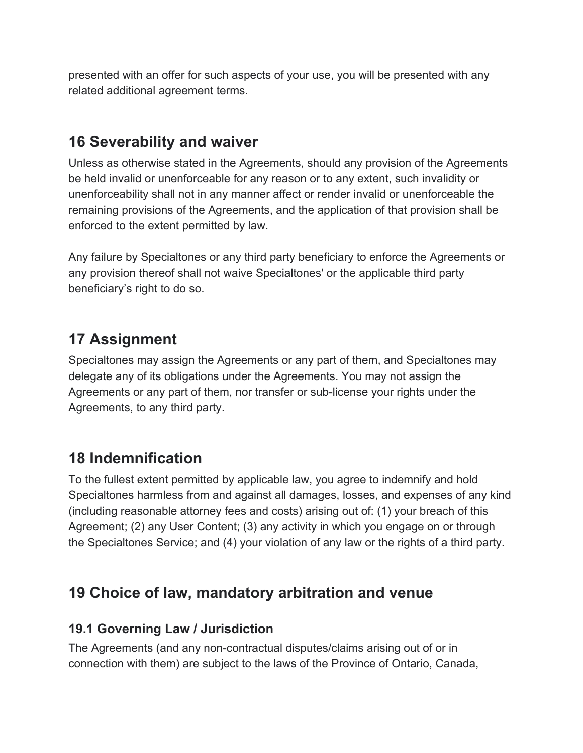presented with an offer for such aspects of your use, you will be presented with any related additional agreement terms.

### <span id="page-11-0"></span>**16 Severability and waiver**

Unless as otherwise stated in the Agreements, should any provision of the Agreements be held invalid or unenforceable for any reason or to any extent, such invalidity or unenforceability shall not in any manner affect or render invalid or unenforceable the remaining provisions of the Agreements, and the application of that provision shall be enforced to the extent permitted by law.

Any failure by Specialtones or any third party beneficiary to enforce the Agreements or any provision thereof shall not waive Specialtones' or the applicable third party beneficiary's right to do so.

### <span id="page-11-1"></span>**17 Assignment**

Specialtones may assign the Agreements or any part of them, and Specialtones may delegate any of its obligations under the Agreements. You may not assign the Agreements or any part of them, nor transfer or sub-license your rights under the Agreements, to any third party.

### <span id="page-11-2"></span>**18 Indemnification**

To the fullest extent permitted by applicable law, you agree to indemnify and hold Specialtones harmless from and against all damages, losses, and expenses of any kind (including reasonable attorney fees and costs) arising out of: (1) your breach of this Agreement; (2) any User Content; (3) any activity in which you engage on or through the Specialtones Service; and (4) your violation of any law or the rights of a third party.

### <span id="page-11-3"></span>**19 Choice of law, mandatory arbitration and venue**

#### <span id="page-11-4"></span>**19.1 Governing Law / Jurisdiction**

The Agreements (and any non-contractual disputes/claims arising out of or in connection with them) are subject to the laws of the Province of Ontario, Canada,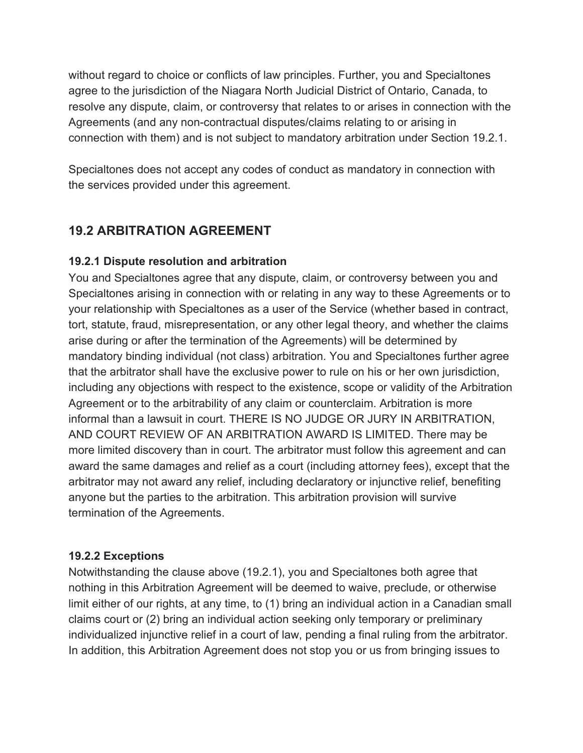without regard to choice or conflicts of law principles. Further, you and Specialtones agree to the jurisdiction of the Niagara North Judicial District of Ontario, Canada, to resolve any dispute, claim, or controversy that relates to or arises in connection with the Agreements (and any non-contractual disputes/claims relating to or arising in connection with them) and is not subject to mandatory arbitration under Section 19.2.1.

Specialtones does not accept any codes of conduct as mandatory in connection with the services provided under this agreement.

#### <span id="page-12-0"></span>**19.2 ARBITRATION AGREEMENT**

#### <span id="page-12-1"></span>**19.2.1 Dispute resolution and arbitration**

You and Specialtones agree that any dispute, claim, or controversy between you and Specialtones arising in connection with or relating in any way to these Agreements or to your relationship with Specialtones as a user of the Service (whether based in contract, tort, statute, fraud, misrepresentation, or any other legal theory, and whether the claims arise during or after the termination of the Agreements) will be determined by mandatory binding individual (not class) arbitration. You and Specialtones further agree that the arbitrator shall have the exclusive power to rule on his or her own jurisdiction, including any objections with respect to the existence, scope or validity of the Arbitration Agreement or to the arbitrability of any claim or counterclaim. Arbitration is more informal than a lawsuit in court. THERE IS NO JUDGE OR JURY IN ARBITRATION, AND COURT REVIEW OF AN ARBITRATION AWARD IS LIMITED. There may be more limited discovery than in court. The arbitrator must follow this agreement and can award the same damages and relief as a court (including attorney fees), except that the arbitrator may not award any relief, including declaratory or injunctive relief, benefiting anyone but the parties to the arbitration. This arbitration provision will survive termination of the Agreements.

#### <span id="page-12-2"></span>**19.2.2 Exceptions**

Notwithstanding the clause above (19.2.1), you and Specialtones both agree that nothing in this Arbitration Agreement will be deemed to waive, preclude, or otherwise limit either of our rights, at any time, to (1) bring an individual action in a Canadian small claims court or (2) bring an individual action seeking only temporary or preliminary individualized injunctive relief in a court of law, pending a final ruling from the arbitrator. In addition, this Arbitration Agreement does not stop you or us from bringing issues to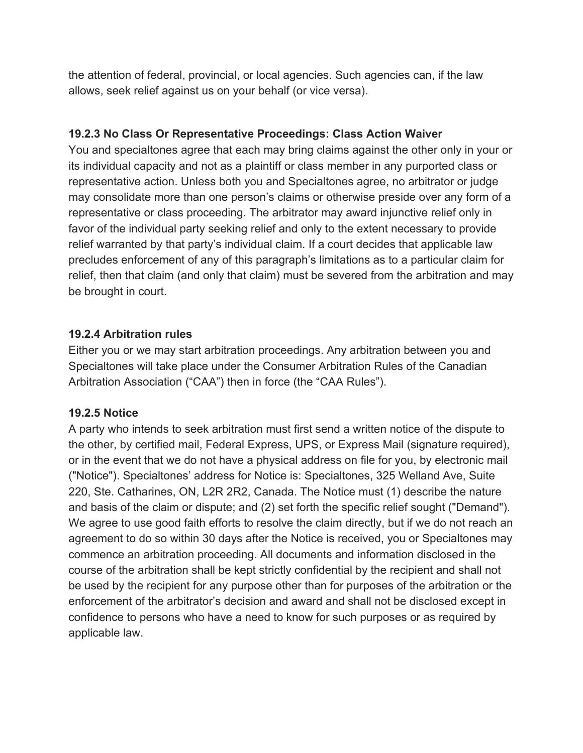the attention of federal, provincial, or local agencies. Such agencies can, if the law allows, seek relief against us on your behalf (or vice versa).

#### <span id="page-13-0"></span>**19.2.3 No Class Or Representative Proceedings: Class Action Waiver**

You and specialtones agree that each may bring claims against the other only in your or its individual capacity and not as a plaintiff or class member in any purported class or representative action. Unless both you and Specialtones agree, no arbitrator or judge may consolidate more than one person's claims or otherwise preside over any form of a representative or class proceeding. The arbitrator may award injunctive relief only in favor of the individual party seeking relief and only to the extent necessary to provide relief warranted by that party's individual claim. If a court decides that applicable law precludes enforcement of any of this paragraph's limitations as to a particular claim for relief, then that claim (and only that claim) must be severed from the arbitration and may be brought in court.

#### <span id="page-13-1"></span>**19.2.4 Arbitration rules**

Either you or we may start arbitration proceedings. Any arbitration between you and Specialtones will take place under the Consumer Arbitration Rules of the Canadian Arbitration Association ("CAA") then in force (the "CAA Rules").

#### **19.2.5 Notice**

A party who intends to seek arbitration must first send a written notice of the dispute to the other, by certified mail, Federal Express, UPS, or Express Mail (signature required), or in the event that we do not have a physical address on file for you, by electronic mail ("Notice"). Specialtones' address for Notice is: Specialtones, 325 Welland Ave, Suite 220, Ste. Catharines, ON, L2R 2R2, Canada. The Notice must (1) describe the nature and basis of the claim or dispute; and (2) set forth the specific relief sought ("Demand"). We agree to use good faith efforts to resolve the claim directly, but if we do not reach an agreement to do so within 30 days after the Notice is received, you or Specialtones may commence an arbitration proceeding. All documents and information disclosed in the course of the arbitration shall be kept strictly confidential by the recipient and shall not be used by the recipient for any purpose other than for purposes of the arbitration or the enforcement of the arbitrator's decision and award and shall not be disclosed except in confidence to persons who have a need to know for such purposes or as required by applicable law.